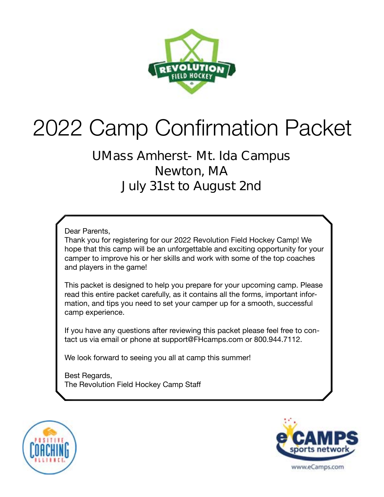

# 2022 Camp Confirmation Packet

### **UMass Amherst- Mt. Ida Campus Newton, MA July 31st to August 2nd**

#### Dear Parents,

Thank you for registering for our 2022 Revolution Field Hockey Camp! We hope that this camp will be an unforgettable and exciting opportunity for your camper to improve his or her skills and work with some of the top coaches and players in the game!

This packet is designed to help you prepare for your upcoming camp. Please read this entire packet carefully, as it contains all the forms, important information, and tips you need to set your camper up for a smooth, successful camp experience.

If you have any questions after reviewing this packet please feel free to contact us via email or phone at support@FHcamps.com or 800.944.7112.

We look forward to seeing you all at camp this summer!

Best Regards, The Revolution Field Hockey Camp Staff



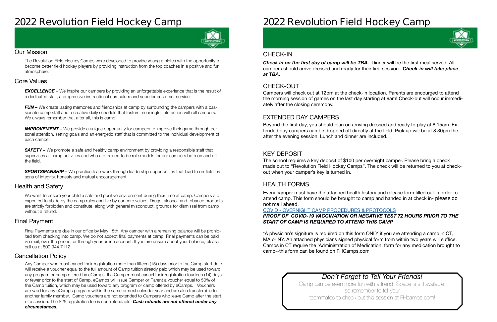### **2022 Revolution Field Hockey Camp**



#### Our Mission

The Revolution Field Hockey Camps were developed to provide young athletes with the opportunity to become better field hockey players by providing instruction from the top coaches in a positive and fun atmosphere.

#### Health and Safety

We want to ensure your child a safe and positive environment during their time at camp. Campers are expected to abide by the camp rules and live by our core values. Drugs, alcohol and tobacco products are strictly forbidden and constitute, along with general misconduct, grounds for dismissal from camp without a refund.

#### Cancellation Policy

#### Final Payment

**EXCELLENCE** – We inspire our campers by providing an unforgettable experience that is the result of a dedicated staff, a progressive instructional curriculum and superior customer service.

*FUN –* We create lasting memories and friendships at camp by surrounding the campers with a passionate camp staff and a creative daily schedule that fosters meaningful interaction with all campers. We always remember that after all, this is camp!

#### Core Values

**IMPROVEMENT** – We provide a unique opportunity for campers to improve their game through personal attention, setting goals and an energetic staff that is committed to the individual development of each camper.

**SAFETY** – We promote a safe and healthy camp environment by providing a responsible staff that supervises all camp activities and who are trained to be role models for our campers both on and off the field.

**SPORTSMANSHIP –** We practice teamwork through leadership opportunities that lead to on-field lessons of integrity, honesty and mutual encouragement.

Final Payments are due in our office by May 15th. Any camper with a remaining balance will be prohibited from checking into camp. We do not accept final payments at camp. Final payments can be paid via mail, over the phone, or through your online account. If you are unsure about your balance, please call us at 800.944.7112

**Check in on the first day of camp will be TBA.** Dinner will be the first meal served. All campers should arrive dressed and ready for their first session. *Check-in will take place at TBA.* 

Any Camper who must cancel their registration more than fifteen (15) days prior to the Camp start date will receive a voucher equal to the full amount of Camp tuition already paid which may be used toward any program or camp offered by eCamps. If a Camper must cancel their registration fourteen (14) days or fewer prior to the start of Camp, eCamps will issue Camper or Parent a voucher equal to 50% of the Camp tuition, which may be used toward any program or camp offered by eCamps. Vouchers are valid for any eCamps program within the same or next calendar year and are also transferable to another family member. Camp vouchers are not extended to Campers who leave Camp after the start of a session. The \$25 registration fee is non-refundable. *Cash refunds are not offered under any circumstances.*

## **2022 Revolution Field Hockey Camp**

### *Don't Forget to Tell Your Friends!*

Camp can be even more fun with a friend. Space is still available, so remember to tell your teammates to check out this session at FHcamps.com!

#### CHECK-OUT

#### EXTENDED DAY CAMPERS

#### KEY DEPOSIT

#### HEALTH FORMS

Campers will check out at 12pm at the check-in location. Parents are encourged to attend the morning session of games on the last day starting at 9am! Check-out will occur immediately after the closing ceremony.

Beyond the first day, you should plan on arriving dressed and ready to play at 8:15am. Extended day campers can be dropped off directly at the field. Pick up will be at 8:30pm the after the evening session. Lunch and dinner are included.

The school requires a key deposit of \$100 per overnight camper. Please bring a check made out to "Revolution Field Hockey Camps". The check will be returned to you at checkout when your camper's key is turned in.

Every camper must have the attached health history and release form filled out in order to attend camp. This form should be brought to camp and handed in at check in- **please do not mail ahead**.

#### COVID - [OVERNIGHT CAMP PROCEDURES & PROTOCOLS](https://laxcamps.com/wp-content/uploads/COVID-19-eCamps-Sports-Network-Guidlines-Overnight-Camp.pdf) *PROOF OF COVID-19 VACCINATION OR NEGATIVE TEST 72 HOURS PRIOR TO THE START OF CAMP IS REQUIRED TO ATTEND THIS CAMP*

\*A physician's signiture is required on this form ONLY if you are attending a camp in CT, MA or NY. An attached physicians signed physical form from within two years will suffice. Camps in CT require the 'Administration of Medication' form for any medication brought to camp--this form can be found on FHCamps.com

#### CHECK-IN